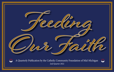



A Quarterly Publication by the Catholic Community Foundation of Mid-Michigan 2nd Quarter 2022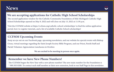## **News**



### **We are accepting applications for Catholic High School Scholarships**

The second application window for the Catholic Community Foundation of Mid-Michigan's Catholic High School Scholarships opened on May 9, 2022 and will close on July 15, 2022 at 11:59 p.m.

 Visit the CCFMM website at https://ccfmm.org/catholic-school-scholarships/ to find the online application portal, how-to-register tutorials, and a list of available Catholic School scholarships!

#### **CCFMM Upcoming Events**

Keep an eye out on our Facebook page, upcoming newsletters, and our website for special events with Bishop Gruss, virtual meetings regarding the Saint Joseph Society Bible Program, and our Priest, Parish Staff and Parish Volunteer Appreciation Luncheons in October.

**We are excited to be meeting in person once again.**

#### **Remember we have New Phone Numbers!**

The CCFMM began the New Year with a new phone number! The new main number for the Foundation is \* 989.303.9200. To contact each staff member at their new extension, look to our Staff Page in this newsletter.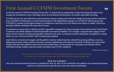## **First Annual CCFMM Investment Forum**



**At the first annual CCFMM Investment Forum May 11, donors had an opportunity to hear from financial experts who manage the Foundation's assets, including return on investments and the policy of socially responsible investing.**

**CCFMM sets its own asset allocation and investment strategy working with National Catholic Investment Pool consultants from CAPTRUST. Heidi Spencer, senior financial advisor and relationship manager at CAPTRUST, told the group that CAPTRUST consults to the largest number of Archdioceses and Dioceses in the nation from Maine to Alaska. It has been advising Catholic institutions for more than 36 years.**

**Investments are made only in Catholic socially responsible companies by using screening criteria based on the United States Conference of Catholic Bishops Socially Responsible Investment Guidelines. For example, companies that engage in fetal tissue research, human cloning, pornography, embryotic stem cells, recreational cannabis and gender reassignment, among others, are on a "do not invest list" that is continuously updated.**

**Andy Marino, investment strategist, said the global economic outlook has been clouded by growing inflation concerns, tightening monetary policy and the uncertain economic implications of the Russian invasion of Ukraine. He expects that markets may generate subdued returns for the foreseeable future. On the upside are wage gains and stimulus checks, individual savings, healthy corporate profits and improving COVID conditions.**

*Written by Joan Ramm*

**Please contact the CCFMM Staff for more information about our Investment Policies as well as our Investment Performance at 989.303.9200 or ccfmm@ccfmm.org!**

**Mark Your Calendars!**

**Our next Annual Investment Forum is scheduled for May 10, 2023. If you would like to be added to our invitation list please email us at ccfmm@ccfmm.org with your name and contact information.**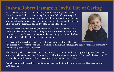## **Joshua Robert Jasman: A Joyful Life of Caring**

Joshua Robert Jasman was truly one in a million. According to his mother, Michelle Jasman, Josh was born caring about others. When he was very little and still in a car seat, he would ask her to stop along the road to help someone who looked needy—even if that someone was on the other side of the highway! This was just the beginning of a life lived for God and for others.

Josh was smart and loved reading, and when he received treat coupons after reading books/passing book tests in 4th grade, he didn't cash his coupons in right away. Instead, he saved them up until he had enough for the whole class. Then he bought all of his St. James classmates a treat.



As a teen, Josh was visiting cousins in California before his illness. They had all just ordered pizza, but then Josh noticed a homeless man looking through the trash for food. He immediately got up and gave his pizza to that man.

Shortly after, Josh was diagnosed with Ewing's sarcoma, a rare cancer that usually affects people from ages 10-20. Michelle said that even in the final stages of his disease, when Josh's father Thomas had taken time off to help his son, Josh encouraged him to go hunting, a sport they both enjoyed.

With his family at his side, Josh fought a valiant five-year battle with Ewing's sarcoma. He passed away in 2009 at age 20.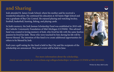## **and Sharing**

Josh attended St. James Grade School, where his mother said he received a wonderful education. He continued his education at All Saints High School and was a graduate of Bay City Central. He enjoyed playing and watching hockey, football, basketball, hunting, fishing, and playing cards.

In Josh's memory, the Josh Jasman Scholarship Fund was established in 2010 with the Catholic Community Foundation of Mid-Michigan (CCFMM). This advised fund was created in loving memory of Josh, who lived his life with the same fearless passion he lived his faith. Those who were touched by him during his life will be forever blessed. The intention of this fund is to create additional opportunities for others to be blessed by Josh.

Each year a golf outing for the fund is held in Bay City and the recipients of the scholarship are announced. This year's event will be held in June.

**For more information about the scholarship,** 

**check out our website at www.ccfmm.org/collegescholarships/ or contact CCFMM at 989.303.9202.**



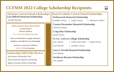## **CCFMM 2022 College Scholarship Recipients**



**All Saints Central School Scholarships Lori Stillwell Memorial Scholarship**

*Lyndsay Hammel*

#### **Want to learn more about these scholarships? Visit our website at www.ccfmm.org/collegescholarships/**

**Here you will find how to apply, submission deadlines, and a full list of our scholarships.**

> **Feel free to contact the CCFMM at 989.303.9200 for assistance.**

#### **Scholarships Still Under Review:**

*Josh Jasman Scholarship Fund Maria Elizabeth Paquette Scholarship Regina Graveline Family Scholarship*

#### **Nouvel Catholic Central School Scholarships Berberovich Memorial Scholarship**

*Jonathan Tunney* **|** *Joseph Tunney* **|** *Marianna Collison*

#### **Cesario Hernandez Memorial Scholarship**

*Christian Zamora*

#### **Craig Siler Scholarship**

*Joseph Tunney*

#### **Fr. E.C. LeFevre College Scholarship**

*Alec Lipinski* **|** *Colette McConnell* **|** *Joseph Tunney*

*Carl Schmidt* **|** *Jonathan Tunney*

#### **Larry J. Oswald Memorial Scholarship**

*Carl Schmidt*

**Northwest Kiwanis Scholarship**

*Alec Lipinski*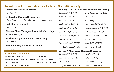| <b>Nouvel Catholic Central School Scholarships</b>                                                                                    | <b>General Scholarships</b>                               |  |  |
|---------------------------------------------------------------------------------------------------------------------------------------|-----------------------------------------------------------|--|--|
| Patrick Ackerman Scholarship                                                                                                          | Anthony & Elizabeth Brenske Memorial Scholarship          |  |  |
| Carl Schmidt                                                                                                                          | Alec Lipinski (NCCHS)<br>Grace Buckingham (NCCHS)         |  |  |
| <b>Rod Luplow Memorial Scholarship</b>                                                                                                | Alexis Yatch (NCCHS)<br>Grace Giroux (AC)                 |  |  |
| Sam Bartels<br>Alec Lipinski<br>Jeamy Pascual II                                                                                      | Ava Yatch (NCCHS)<br>Grant Bouvy (RHS)                    |  |  |
| <b>Scott Dangel Scholarship</b>                                                                                                       | <b>Brooke DuRussel (MHS)</b><br>Jeamy Pascual II (NCCHS)  |  |  |
| Grace Buckingham                                                                                                                      | Caleb Adcock (ASCHS)<br>Mackenzie Sprague (NCCHS)         |  |  |
| Shannan Marie Thompson Memorial Scholarship                                                                                           | Carl Schmidt (NCCHS)<br>Malinda Schmidt (NCCHS)           |  |  |
| Riley Hirschenberger<br>St. Thomas Aquinas Slominski Scholarship<br>Alec Lipinski                                                     | Christian Zamora (NCCHS)<br>Marianna Collison (NCCHS)     |  |  |
|                                                                                                                                       | Clara Gross (NCCHS)<br>Sam Bartels (NCCHS)                |  |  |
|                                                                                                                                       | Colette McConnell (NCCHS)<br>Sophie Lubbe (NCCHS)         |  |  |
| <b>Timothy Horny Baseball Scholarship</b>                                                                                             | Faith Buckingham (NCCHS)<br><b>Sterling Solek (NCCHS)</b> |  |  |
| Sam Bartels                                                                                                                           | <b>Edward &amp; Marie Abele Memorial Scholarship</b>      |  |  |
| <b>School Abbreviation Key:</b>                                                                                                       | Alec Lipinski (NCCHS)<br>Josh High (SHMS)                 |  |  |
| All Saints Central High School (ASCHS)<br>Homeschooled (HS)<br>Nouvel Catholic Central High School (NCCHS)<br>Reese High School (RHS) | Charles Warner (SHMS)<br>Molly Hugo (HS)                  |  |  |
| Millington High School (MHS)<br>Aquinas College (AC)                                                                                  | Sam Bartels (NCCHS)<br>Grace Giroux (AC)                  |  |  |
| Sacred Heart Major Seminary (SHMS)                                                                                                    | Jeamy Pascual II (NCCHS)<br>William Buchalski (NCCHS)     |  |  |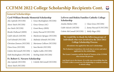### **CCFMM 2022 College Scholarship Recipients Cont.**

#### **General Scholarships**

#### **Cyril William Brenske Memorial Scholarship**

| Alec Lipinski (NCCHS)        | Grace Buckingham (NCCHS)  |
|------------------------------|---------------------------|
| Alexis Yatch (NCCHS)         | Grace Giroux (AC)         |
| Ava Yatch (NCCHS)            | Grant Bouvy (RHS)         |
| <b>Brooke DuRussel (MHS)</b> | Jeamy Pascual II (NCCHS)  |
| Caleb Adcock (ASCHS)         | Mackenzie Sprague (NCCHS) |
| Carl Schmidt (NCCHS)         | Malinda Schmidt (NCCHS)   |
| Christian Zamora (NCCHS)     | Marianna Collison (NCCHS) |
| Clara Gross (NCCHS)          | Sam Bartels (NCCHS)       |
| Colette McConnell (NCCHS)    | Sophie Lubbe (NCCHS)      |
| Faith Buckingham (NCCHS)     | Sterling Solek (NCCHS)    |
|                              |                           |

#### **Fr. Robert G. Navarre Scholarship**

*Alec Lipinski (NCCHS)* **|** *Colettle McConnell (NCCHS)*

*Alexis Yatch (NCCHS)*

#### **LeFevre and Rokita Families Catholic College Scholarship**

| Amelia Molitor (HS)       | Clara Gross (NCCHS)      |
|---------------------------|--------------------------|
| Caleb Adcock (ASCHS)      | Jeamy Pascual II (NCCHS) |
| Colette McConnell (NCCHS) | Molly Hugo (HS)          |

#### **We would like to thank the following groups of individuals who were involved in the 2021/2022 College Scholarship Process:**

**All students who applied for this year's scholarships.**

**The Evaluation Committees who took time to review and select applicants for the scholarships.**

**The Grants Commitee and the Board of Trustees of the CCFMM who oversaw the process.**

**And thank you to the donors. It is with your stewardship that the CCFMM is able to award over 20 scholarships to students seeking to attend college.**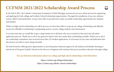### **CCFMM 2021/2022 Scholarship Award Process**



In the Fall of 2021, the Catholic Community Foundation of Mid-Michigan announced our new online process for registering and applying for both college and Catholic School Scholarship opportunities. Through the installation of our new software system called CommunitySuite, we have been able to provide more easily accessable scholarship opportunities for students and families.

While our high school scholarships are still in process, we have been able to wrap up our college scholarships and officially award over \$60,000 in scholarships to graduating seniors, current college students and seminarians!

It is at this time that we would like to give a large thank you to all those who were involved in this year's first all online application process. Thank you to all of our generous donors who have made these scholarships possible. Thank you to all of our scholarship committees who reviewed more than 225 student applications. It is because of your time and dedication that this process was able to move along smoothly.

We look foward to offering more opportunities to provide greater financial support for all students and families desiring to attend one of the great Catholic Schools in the Diocese of Saginaw and continue their post secondary education through college.

**You can find more information about our college and high school scholarships at the links below:**

**https://ccfmm.org/collegescholarships/ https://ccfmm.org/catholic-school-scholarships/**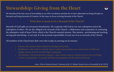## **Stewardship: Giving from the Heart**



We introduced the four areas of stewardship in our 2021 newsletters and thus far we have elaborated on being Disciples as Stewards and being Stewards of Creation. In this issue we focus on being Stewards of the Church.

#### **What does it mean to be a Steward of the Church?**

Stewards of God's gifts are not passive beneficiaries. We cooperate with God in our own redemption and in the redemption of others. We are also obliged to be stewards of the Church—collaborators and cooperators in continuing the redemptive work of Jesus Christ, which is the Church's essential mission. This mission—proclaiming and teaching, serving and sanctifying—is our task. It is the personal responsibility of each one of us as stewards of the Church.

All members of the Church have their own roles to play in carrying out its mission:

- Parents, who nurture their children in the light of the faith
- Parishioners, who work in concrete ways to make their parishes true communities of faith and vibrant sources of service to the larger community
- All Catholics, who give generous support—time, money, prayers, and personal service according to their circumstances—to parish and diocesan programs and the universal Church

*Source: To Be a Christian Steward: A Summary of the U.S. Bishops' Pastoral Letter on Stewardship by the USCCB*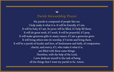### **Parish Stewardship Prayer**

My parish is composed of people like me. I help make it what it is. It will be friendly, if I am. It will be holy, if I am. Its pews will be filled, if I help fill them. It will do great work, if I work. It will be prayerful, if I pray. It will make generous gifts to many causes, if I am a generous giver. It will bring others into its worship, if I invite and bring them. It will be a parish of loyalty and love, of fearlessness and faith, of compassion, charity, and mercy, if I, who make it what it is, am filled with these same things. Therefore, with the help of the Lord, I now dedicate myself to the task of being all the things that I want my parish to be. Amen.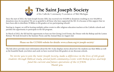

## The Saint Joseph Society

of the Catholic Community Foundation of Mid-Michigan

Since the start of 2022, the Saint Joseph Society (SJS), has received over \$10,000 in donations resulting in over \$44,000 in donations since its inception! We are so grateful to all those who have supported the SJS. It is because of this support that we have been able to distribute 59 Bibles to 6th graders at two participating schools!

Starting in August, we will be hosting multiple online events to offer religious education teachers at the Catholic schools and parishes the opportunity to participate in the SJS program.

In March of 2022, the SJS had the opportunity to host our first Giving Level Events, the Dinner with the Bishop and the Lenten Retreat. We look forward to the Summer Picnic and the Annual Mass on August 2nd.

**Please see the CCFMM website for details: www.ccfmm.org/st-joseph-society/**

The link above provides more information about the SJS. It also displays stories about how the students use their Bibles as well as the beautiful thank-you letters and cards we have received from 6th graders at our diocesan schools.

*We invite you to join the Saint Joseph Society, make a difference in the lives of 6th grade students through Biblical study, attend faith community events with Bishop Gruss and help fund the current and future operations of the CCFMM. Thank you.*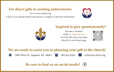### **For direct gifts to existing endowments:**

Go to www.ccfmm.org

Click on our donate button and choose a category or favorite endowment.





### **Inspired to give spontaneously?**

Become a member of the *St. Joseph Society!* Use this QR code to be taken directly to our donate page.



**We are ready to assist you in planning your gift to the church!**



5800 Weiss St., Saginaw, MI 48603  $\rightarrow$  989.303.9200  $\times$  ccfmm@ccfmm.org



**Be sure to find us on social media!**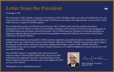## **Letter from the President**



Greetings to All!

The entire team of the Catholic Community Foundation of Mid-Michigan wishes you and your families the Love, Joy, Grace and Peace of the Risen Christ! With spring in full bloom and summer fast approaching, we are excited to share with everyone a couple of CCFMM updates.

We recently held our first CCFMM Investment Forum. The CCFMM works with the excellent investment professionals at CAP TRUST, as well as our investment committee and our Board of Trustees in the management of CCFMM endowment and donor advised fund assets. The CCFMM assets are invested in a diversified portfolio in alignment with the ethical principles and investment guidelines endorsed by Bishop Gruss and the United States Conference of Catholic Bishops.

Individuals interested in pursuing their Catholic mission aspirations, can make donations to existing endowments or establish their own endowments or donor advised funds within the CCFMM. Whether your passion may be support for the poor, parish needs, seminarian education, helping with liturgies, sanctity of life, Catholic education, scholarships or any one of a number of other Catholic ministries, we would be delighted to connect and partner with you and your family.

The CCFMM wishes to congratulate and extend our prayers and best wishes to Deacon Matt Gembrowski, who was recently ordained to the traditional Deaconate. We thank Bishop Gruss, Deacon Matt and all priests, deacons, sisters and religious for their service to the Church!



Marculf w The

Mike Wolohan, President 989.799.5557

Wishing all of you a wonderful summer!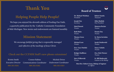### **Thank You**

### **Helping People Help People!**

We hope you enjoyed the eleventh edition of Feeding Our Faith, a quarterly publication by the Catholic Community Foundation of Mid-Michigan. New stories and endowments are featured monthly.

#### **Mission Statement**

 *We encourage faithful giving that is responsibly managed and reflective of the teachings of Jesus Christ.*

#### **Check out the CCFMM Staff 's new phone extensions!**

Kristin Smith *Executive Director* **989.303.9201**

Connor Rabine *Communications Coordinator* **989.303.9202**

Michele Driver *Endowment Coordinator* **989.303.9203**



#### **Board of Trustees**

**Dr. Michael Wolohan** *President*

**Robert Sasiela**

**Joseph Day** *Secretary*

**Mark Bassett** *Trustee*

**Ruth Buko** *Trustee*

**Thomas Gross** *Trustee*

**Michael Leen** *Trustee*

**Dcn. Gary Patelski** *Trustee*

**Bridget Staffileno** *Trustee*

**Steve Wilkowski** *Trustee*

*Treasurer*

**Mike Shabluk** *Past President*

**Maureen Becker** *Trustee*

**Dennis Day** *Trustee*

**Sr. Maria Inviolata** *Trustee*

**Sarah Ostahowski** *Trustee*

**Nancy Schultz** *Trustee*

**Dcn. Rick Warner** *Trustee*

**Fr. Bill Rutkowski** *Liaison to the Bishop*

**Most Rev. Robert Gruss, Bishop of Saginaw** *Ex Officio*